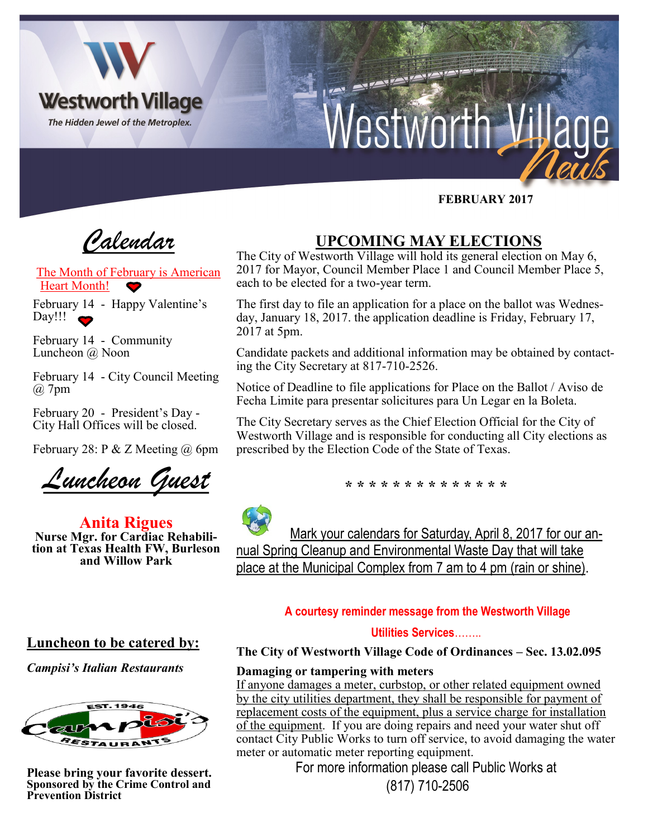

 **FEBRUARY 2017**

*Calendar*

The Month of February is American Heart Month!

February 14 - Happy Valentine's Day!!!

February 14 - Community Luncheon @ Noon

February 14 - City Council Meeting @ 7pm

February 20 - President's Day - City Hall Offices will be closed.

February 28: P & Z Meeting  $\omega$  6pm

*Luncheon Guest*

**Anita Rigues Nurse Mgr. for Cardiac Rehabilition at Texas Health FW, Burleson and Willow Park**

# **UPCOMING MAY ELECTIONS**

The City of Westworth Village will hold its general election on May 6, 2017 for Mayor, Council Member Place 1 and Council Member Place 5, each to be elected for a two-year term.

The first day to file an application for a place on the ballot was Wednesday, January 18, 2017. the application deadline is Friday, February 17, 2017 at 5pm.

Candidate packets and additional information may be obtained by contacting the City Secretary at 817-710-2526.

Notice of Deadline to file applications for Place on the Ballot / Aviso de Fecha Limite para presentar solicitures para Un Legar en la Boleta.

The City Secretary serves as the Chief Election Official for the City of Westworth Village and is responsible for conducting all City elections as prescribed by the Election Code of the State of Texas.

**\* \* \* \* \* \* \* \* \* \* \* \* \* \***



 Mark your calendars for Saturday, April 8, 2017 for our annual Spring Cleanup and Environmental Waste Day that will take place at the Municipal Complex from 7 am to 4 pm (rain or shine).

## **A courtesy reminder message from the Westworth Village**

## **Utilities Services**……..

**The City of Westworth Village Code of Ordinances – Sec. 13.02.095**

## **Damaging or tampering with meters**

If anyone damages a meter, curbstop, or other related equipment owned by the city utilities department, they shall be responsible for payment of replacement costs of the equipment, plus a service charge for installation of the equipment. If you are doing repairs and need your water shut off contact City Public Works to turn off service, to avoid damaging the water meter or automatic meter reporting equipment.

For more information please call Public Works at (817) 710-2506

## **Luncheon to be catered by:**

*Campisi's Italian Restaurants*



**Please bring your favorite dessert. Sponsored by the Crime Control and Prevention District**